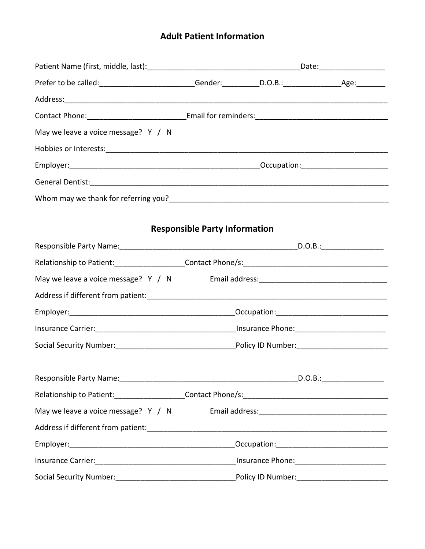# **Adult Patient Information**

| May we leave a voice message? Y / N                                                                                                                                                                                                  |                                      |  |
|--------------------------------------------------------------------------------------------------------------------------------------------------------------------------------------------------------------------------------------|--------------------------------------|--|
|                                                                                                                                                                                                                                      |                                      |  |
|                                                                                                                                                                                                                                      |                                      |  |
| General Dentist: <u>Communications of the second contract of the second contract of the second contract of the second contract of the second contract of the second contract of the second contract of the second contract of th</u> |                                      |  |
|                                                                                                                                                                                                                                      |                                      |  |
|                                                                                                                                                                                                                                      |                                      |  |
|                                                                                                                                                                                                                                      | <b>Responsible Party Information</b> |  |
|                                                                                                                                                                                                                                      |                                      |  |
|                                                                                                                                                                                                                                      |                                      |  |
| May we leave a voice message? Y / N Email address: _____________________________                                                                                                                                                     |                                      |  |
|                                                                                                                                                                                                                                      |                                      |  |
|                                                                                                                                                                                                                                      |                                      |  |
|                                                                                                                                                                                                                                      |                                      |  |
|                                                                                                                                                                                                                                      |                                      |  |
|                                                                                                                                                                                                                                      |                                      |  |
|                                                                                                                                                                                                                                      |                                      |  |
|                                                                                                                                                                                                                                      |                                      |  |
| May we leave a voice message? $Y / N$                                                                                                                                                                                                |                                      |  |
|                                                                                                                                                                                                                                      |                                      |  |
|                                                                                                                                                                                                                                      |                                      |  |
|                                                                                                                                                                                                                                      |                                      |  |
|                                                                                                                                                                                                                                      |                                      |  |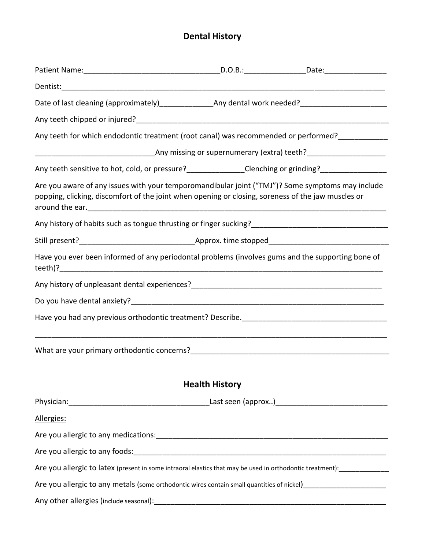# **Dental History**

| Date of last cleaning (approximately)_______________________Any dental work needed?___________________________                                                                                         |                       |  |
|--------------------------------------------------------------------------------------------------------------------------------------------------------------------------------------------------------|-----------------------|--|
|                                                                                                                                                                                                        |                       |  |
| Any teeth for which endodontic treatment (root canal) was recommended or performed?____________                                                                                                        |                       |  |
|                                                                                                                                                                                                        |                       |  |
| Any teeth sensitive to hot, cold, or pressure?______________Clenching or grinding?_________________                                                                                                    |                       |  |
| Are you aware of any issues with your temporomandibular joint ("TMJ")? Some symptoms may include<br>popping, clicking, discomfort of the joint when opening or closing, soreness of the jaw muscles or |                       |  |
|                                                                                                                                                                                                        |                       |  |
|                                                                                                                                                                                                        |                       |  |
| Have you ever been informed of any periodontal problems (involves gums and the supporting bone of                                                                                                      |                       |  |
|                                                                                                                                                                                                        |                       |  |
|                                                                                                                                                                                                        |                       |  |
|                                                                                                                                                                                                        |                       |  |
|                                                                                                                                                                                                        |                       |  |
|                                                                                                                                                                                                        |                       |  |
|                                                                                                                                                                                                        | <b>Health History</b> |  |
|                                                                                                                                                                                                        |                       |  |
| Allergies:                                                                                                                                                                                             |                       |  |
|                                                                                                                                                                                                        |                       |  |
|                                                                                                                                                                                                        |                       |  |
| Are you allergic to latex (present in some intraoral elastics that may be used in orthodontic treatment): ________________                                                                             |                       |  |
| Are you allergic to any metals (some orthodontic wires contain small quantities of nickel)____________________                                                                                         |                       |  |
|                                                                                                                                                                                                        |                       |  |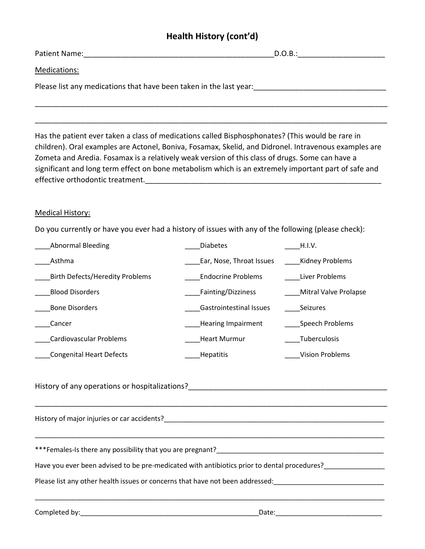## **Health History (cont'd)**

 $D.O.B.:$ 

Medications:

Please list any medications that have been taken in the last year:

Has the patient ever taken a class of medications called Bisphosphonates? (This would be rare in children). Oral examples are Actonel, Boniva, Fosamax, Skelid, and Didronel. Intravenous examples are Zometa and Aredia. Fosamax is a relatively weak version of this class of drugs. Some can have a significant and long term effect on bone metabolism which is an extremely important part of safe and effective orthodontic treatment.

\_\_\_\_\_\_\_\_\_\_\_\_\_\_\_\_\_\_\_\_\_\_\_\_\_\_\_\_\_\_\_\_\_\_\_\_\_\_\_\_\_\_\_\_\_\_\_\_\_\_\_\_\_\_\_\_\_\_\_\_\_\_\_\_\_\_\_\_\_\_\_\_\_\_\_\_\_\_\_\_\_\_\_\_\_

\_\_\_\_\_\_\_\_\_\_\_\_\_\_\_\_\_\_\_\_\_\_\_\_\_\_\_\_\_\_\_\_\_\_\_\_\_\_\_\_\_\_\_\_\_\_\_\_\_\_\_\_\_\_\_\_\_\_\_\_\_\_\_\_\_\_\_\_\_\_\_\_\_\_\_\_\_\_\_\_\_\_\_\_\_

#### Medical History:

Do you currently or have you ever had a history of issues with any of the following (please check):

| <b>Abnormal Bleeding</b>               | <b>Diabetes</b>                | H.I.V.                 |
|----------------------------------------|--------------------------------|------------------------|
| Asthma                                 | Ear, Nose, Throat Issues       | Kidney Problems        |
| <b>Birth Defects/Heredity Problems</b> | <b>Endocrine Problems</b>      | Liver Problems         |
| <b>Blood Disorders</b>                 | Fainting/Dizziness             | Mitral Valve Prolapse  |
| <b>Bone Disorders</b>                  | <b>Gastrointestinal Issues</b> | <b>Seizures</b>        |
| Cancer                                 | <b>Hearing Impairment</b>      | Speech Problems        |
| Cardiovascular Problems                | <b>Heart Murmur</b>            | Tuberculosis           |
| <b>Congenital Heart Defects</b>        | <b>Hepatitis</b>               | <b>Vision Problems</b> |

\_\_\_\_\_\_\_\_\_\_\_\_\_\_\_\_\_\_\_\_\_\_\_\_\_\_\_\_\_\_\_\_\_\_\_\_\_\_\_\_\_\_\_\_\_\_\_\_\_\_\_\_\_\_\_\_\_\_\_\_\_\_\_\_\_\_\_\_\_\_\_\_\_\_\_\_\_\_\_\_\_\_\_\_\_

\_\_\_\_\_\_\_\_\_\_\_\_\_\_\_\_\_\_\_\_\_\_\_\_\_\_\_\_\_\_\_\_\_\_\_\_\_\_\_\_\_\_\_\_\_\_\_\_\_\_\_\_\_\_\_\_\_\_\_\_\_\_\_\_\_\_\_\_\_\_\_\_\_\_\_\_\_\_\_\_\_\_\_\_\_\_\_\_\_\_\_\_

History of any operations or hospitalizations?

History of major injuries or car accidents?\_\_\_\_\_\_\_\_\_\_\_\_\_\_\_\_\_\_\_\_\_\_\_\_\_\_\_\_\_\_\_\_\_\_\_\_\_\_\_\_\_\_\_\_\_\_\_\_\_\_\_\_\_\_\_\_\_\_

\*\*\*Females-Is there any possibility that you are pregnant?

Have you ever been advised to be pre-medicated with antibiotics prior to dental procedures?\_\_\_\_\_\_\_\_\_\_\_\_\_\_\_\_\_\_

Please list any other health issues or concerns that have not been addressed:

Completed by:\_\_\_\_\_\_\_\_\_\_\_\_\_\_\_\_\_\_\_\_\_\_\_\_\_\_\_\_\_\_\_\_\_\_\_\_\_\_\_\_\_\_\_\_\_\_\_Date:\_\_\_\_\_\_\_\_\_\_\_\_\_\_\_\_\_\_\_\_\_\_\_\_\_\_\_\_